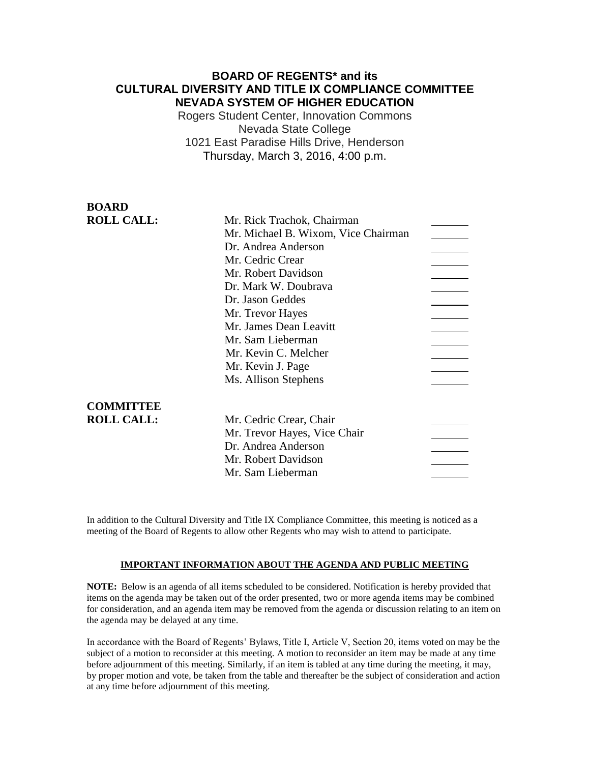### **BOARD OF REGENTS\* and its CULTURAL DIVERSITY AND TITLE IX COMPLIANCE COMMITTEE NEVADA SYSTEM OF HIGHER EDUCATION**

Rogers Student Center, Innovation Commons Nevada State College 1021 East Paradise Hills Drive, Henderson Thursday, March 3, 2016, 4:00 p.m.

### **BOARD ROLL CALL:**

| Mr. Rick Trachok, Chairman          |  |
|-------------------------------------|--|
| Mr. Michael B. Wixom, Vice Chairman |  |
| Dr. Andrea Anderson                 |  |
| Mr. Cedric Crear                    |  |
| Mr. Robert Davidson                 |  |
| Dr. Mark W. Doubrava                |  |
| Dr. Jason Geddes                    |  |
| Mr. Trevor Hayes                    |  |
| Mr. James Dean Leavitt              |  |
| Mr. Sam Lieberman                   |  |
| Mr. Kevin C. Melcher                |  |
| Mr. Kevin J. Page                   |  |
| Ms. Allison Stephens                |  |
|                                     |  |
|                                     |  |
| Mr. Cedric Crear, Chair             |  |
| Mr. Trevor Hayes, Vice Chair        |  |

**COMMITTEE ROLL CALL:** 

In addition to the Cultural Diversity and Title IX Compliance Committee, this meeting is noticed as a meeting of the Board of Regents to allow other Regents who may wish to attend to participate.

Dr. Andrea Anderson Mr. Robert Davidson Mr. Sam Lieberman

### **IMPORTANT INFORMATION ABOUT THE AGENDA AND PUBLIC MEETING**

**NOTE:** Below is an agenda of all items scheduled to be considered. Notification is hereby provided that items on the agenda may be taken out of the order presented, two or more agenda items may be combined for consideration, and an agenda item may be removed from the agenda or discussion relating to an item on the agenda may be delayed at any time.

In accordance with the Board of Regents' Bylaws, Title I, Article V, Section 20, items voted on may be the subject of a motion to reconsider at this meeting. A motion to reconsider an item may be made at any time before adjournment of this meeting. Similarly, if an item is tabled at any time during the meeting, it may, by proper motion and vote, be taken from the table and thereafter be the subject of consideration and action at any time before adjournment of this meeting.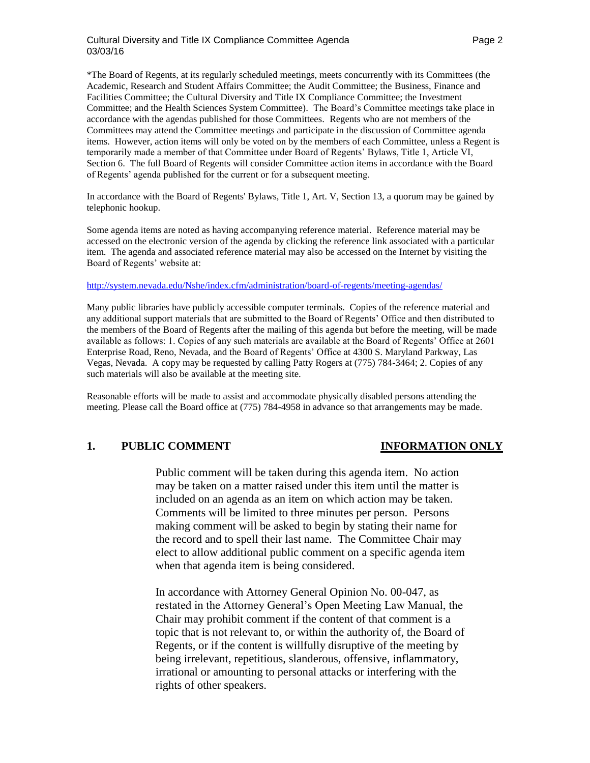### Cultural Diversity and Title IX Compliance Committee Agenda Page 2 03/03/16

\*The Board of Regents, at its regularly scheduled meetings, meets concurrently with its Committees (the Academic, Research and Student Affairs Committee; the Audit Committee; the Business, Finance and Facilities Committee; the Cultural Diversity and Title IX Compliance Committee; the Investment Committee; and the Health Sciences System Committee). The Board's Committee meetings take place in accordance with the agendas published for those Committees. Regents who are not members of the Committees may attend the Committee meetings and participate in the discussion of Committee agenda items. However, action items will only be voted on by the members of each Committee, unless a Regent is temporarily made a member of that Committee under Board of Regents' Bylaws, Title 1, Article VI, Section 6. The full Board of Regents will consider Committee action items in accordance with the Board of Regents' agenda published for the current or for a subsequent meeting.

In accordance with the Board of Regents' Bylaws, Title 1, Art. V, Section 13, a quorum may be gained by telephonic hookup.

Some agenda items are noted as having accompanying reference material. Reference material may be accessed on the electronic version of the agenda by clicking the reference link associated with a particular item. The agenda and associated reference material may also be accessed on the Internet by visiting the Board of Regents' website at:

### <http://system.nevada.edu/Nshe/index.cfm/administration/board-of-regents/meeting-agendas/>

Many public libraries have publicly accessible computer terminals. Copies of the reference material and any additional support materials that are submitted to the Board of Regents' Office and then distributed to the members of the Board of Regents after the mailing of this agenda but before the meeting, will be made available as follows: 1. Copies of any such materials are available at the Board of Regents' Office at 2601 Enterprise Road, Reno, Nevada, and the Board of Regents' Office at 4300 S. Maryland Parkway, Las Vegas, Nevada. A copy may be requested by calling Patty Rogers at (775) 784-3464; 2. Copies of any such materials will also be available at the meeting site.

Reasonable efforts will be made to assist and accommodate physically disabled persons attending the meeting. Please call the Board office at (775) 784-4958 in advance so that arrangements may be made.

### **1. PUBLIC COMMENT INFORMATION ONLY**

Public comment will be taken during this agenda item. No action may be taken on a matter raised under this item until the matter is included on an agenda as an item on which action may be taken. Comments will be limited to three minutes per person. Persons making comment will be asked to begin by stating their name for the record and to spell their last name. The Committee Chair may elect to allow additional public comment on a specific agenda item when that agenda item is being considered.

In accordance with Attorney General Opinion No. 00-047, as restated in the Attorney General's Open Meeting Law Manual, the Chair may prohibit comment if the content of that comment is a topic that is not relevant to, or within the authority of, the Board of Regents, or if the content is willfully disruptive of the meeting by being irrelevant, repetitious, slanderous, offensive, inflammatory, irrational or amounting to personal attacks or interfering with the rights of other speakers.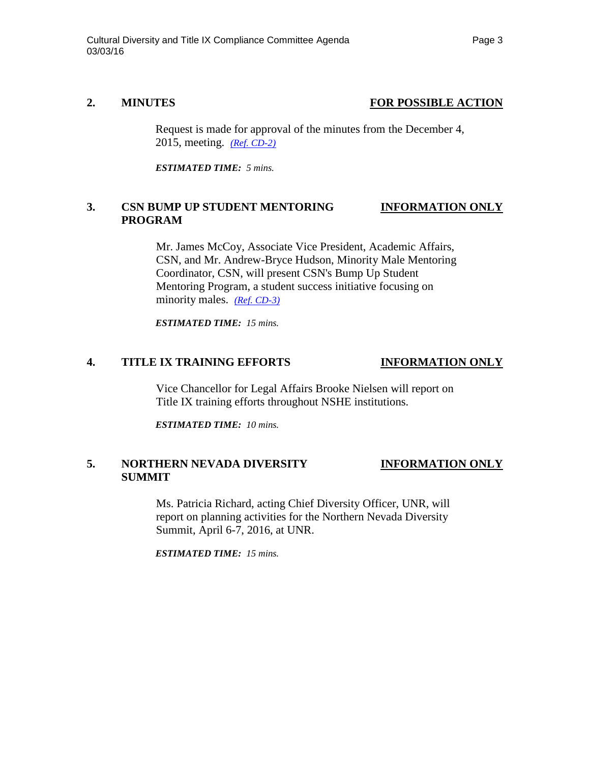## **2. MINUTES FOR POSSIBLE ACTION**

Request is made for approval of the minutes from the December 4, 2015, meeting. *[\(Ref. CD-2\)](http://system.nevada.edu/tasks/sites/Nshe/assets/File/BoardOfRegents/Agendas/2016/mar-mtgs/cdix-refs/CD-2.pdf)*

*ESTIMATED TIME: 5 mins.*

# **3. CSN BUMP UP STUDENT MENTORING INFORMATION ONLY PROGRAM**

Mr. James McCoy, Associate Vice President, Academic Affairs, CSN, and Mr. Andrew-Bryce Hudson, Minority Male Mentoring Coordinator, CSN, will present CSN's Bump Up Student Mentoring Program, a student success initiative focusing on minority males. *[\(Ref. CD-3\)](http://system.nevada.edu/tasks/sites/Nshe/assets/File/BoardOfRegents/Agendas/2016/mar-mtgs/cdix-refs/CD-3.pdf)*

*ESTIMATED TIME: 15 mins.*

### **4. TITLE IX TRAINING EFFORTS INFORMATION ONLY**

Vice Chancellor for Legal Affairs Brooke Nielsen will report on Title IX training efforts throughout NSHE institutions.

*ESTIMATED TIME: 10 mins.*

# **5. NORTHERN NEVADA DIVERSITY INFORMATION ONLY SUMMIT**

Ms. Patricia Richard, acting Chief Diversity Officer, UNR, will report on planning activities for the Northern Nevada Diversity Summit, April 6-7, 2016, at UNR.

*ESTIMATED TIME: 15 mins.*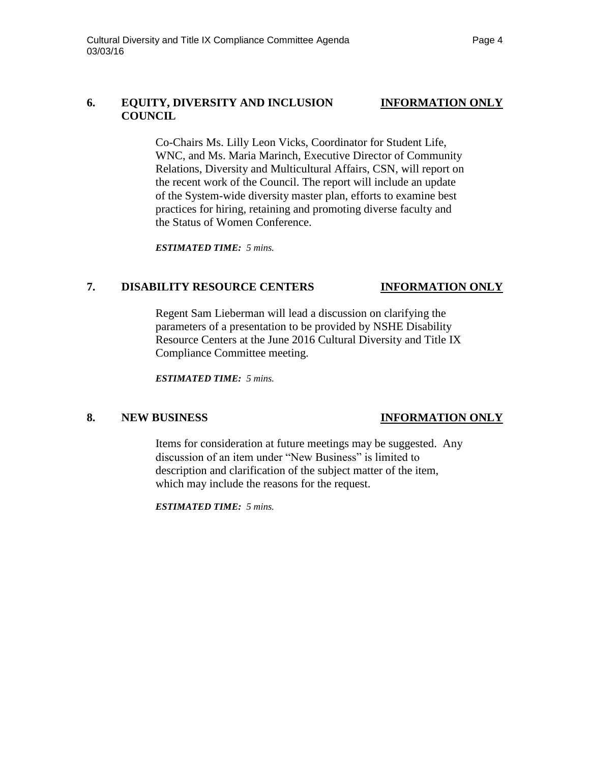## **6. EQUITY, DIVERSITY AND INCLUSION INFORMATION ONLY COUNCIL**

Co-Chairs Ms. Lilly Leon Vicks, Coordinator for Student Life, WNC, and Ms. Maria Marinch, Executive Director of Community Relations, Diversity and Multicultural Affairs, CSN, will report on the recent work of the Council. The report will include an update of the System-wide diversity master plan, efforts to examine best practices for hiring, retaining and promoting diverse faculty and the Status of Women Conference.

*ESTIMATED TIME: 5 mins.*

# **7. DISABILITY RESOURCE CENTERS INFORMATION ONLY**

Regent Sam Lieberman will lead a discussion on clarifying the parameters of a presentation to be provided by NSHE Disability Resource Centers at the June 2016 Cultural Diversity and Title IX Compliance Committee meeting.

*ESTIMATED TIME: 5 mins.*

# **8. NEW BUSINESS INFORMATION ONLY**

Items for consideration at future meetings may be suggested. Any discussion of an item under "New Business" is limited to description and clarification of the subject matter of the item, which may include the reasons for the request.

*ESTIMATED TIME: 5 mins.*